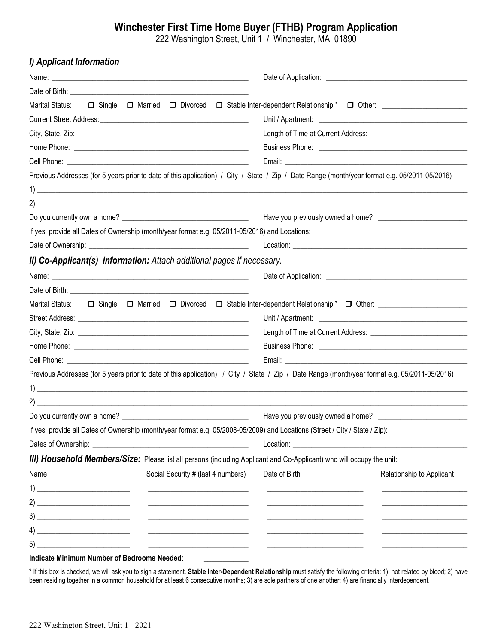## **Winchester First Time Home Buyer (FTHB) Program Application**

222 Washington Street, Unit 1 / Winchester, MA 01890

| I) Applicant Information                                                                       |                                                                                                                                               |
|------------------------------------------------------------------------------------------------|-----------------------------------------------------------------------------------------------------------------------------------------------|
|                                                                                                |                                                                                                                                               |
|                                                                                                |                                                                                                                                               |
| Marital Status:                                                                                | □ Single □ Married □ Divorced □ Stable Inter-dependent Relationship * □ Other:                                                                |
|                                                                                                |                                                                                                                                               |
|                                                                                                |                                                                                                                                               |
|                                                                                                |                                                                                                                                               |
|                                                                                                |                                                                                                                                               |
|                                                                                                | Previous Addresses (for 5 years prior to date of this application) / City / State / Zip / Date Range (month/year format e.g. 05/2011-05/2016) |
|                                                                                                |                                                                                                                                               |
|                                                                                                |                                                                                                                                               |
|                                                                                                |                                                                                                                                               |
| If yes, provide all Dates of Ownership (month/year format e.g. 05/2011-05/2016) and Locations: |                                                                                                                                               |
|                                                                                                |                                                                                                                                               |
| II) Co-Applicant(s) Information: Attach additional pages if necessary.                         |                                                                                                                                               |
|                                                                                                |                                                                                                                                               |
|                                                                                                |                                                                                                                                               |
|                                                                                                |                                                                                                                                               |
|                                                                                                |                                                                                                                                               |
|                                                                                                |                                                                                                                                               |
|                                                                                                |                                                                                                                                               |
|                                                                                                |                                                                                                                                               |
|                                                                                                | Previous Addresses (for 5 years prior to date of this application) / City / State / Zip / Date Range (month/year format e.g. 05/2011-05/2016) |
|                                                                                                |                                                                                                                                               |
|                                                                                                |                                                                                                                                               |
| Do you currently own a home?                                                                   | Have you previously owned a home?                                                                                                             |
|                                                                                                | If yes, provide all Dates of Ownership (month/year format e.g. 05/2008-05/2009) and Locations (Street / City / State / Zip):                  |
|                                                                                                |                                                                                                                                               |
|                                                                                                | III) Household Members/Size: Please list all persons (including Applicant and Co-Applicant) who will occupy the unit:                         |
| Name                                                                                           | Social Security # (last 4 numbers)<br>Date of Birth<br>Relationship to Applicant                                                              |
|                                                                                                |                                                                                                                                               |
|                                                                                                |                                                                                                                                               |
|                                                                                                |                                                                                                                                               |
|                                                                                                |                                                                                                                                               |
|                                                                                                |                                                                                                                                               |
| the Minimum Monday of Deducation Meets di                                                      |                                                                                                                                               |

## **Indicate Minimum Number of Bedrooms Needed**: **\_\_\_\_\_\_\_\_\_\_\_\_**

**\*** If this box is checked, we will ask you to sign a statement. **Stable Inter-Dependent Relationship** must satisfy the following criteria: 1) not related by blood; 2) have been residing together in a common household for at least 6 consecutive months; 3) are sole partners of one another; 4) are financially interdependent.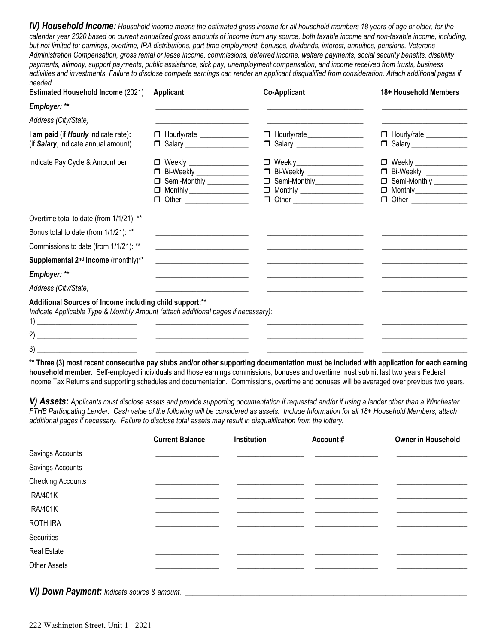*lV) Household Income: Household income means the estimated gross income for all household members 18 years of age or older, for the calendar year 2020 based on current annualized gross amounts of income from any source, both taxable income and non-taxable income, including, but not limited to: earnings, overtime, IRA distributions, part-time employment, bonuses, dividends, interest, annuities, pensions, Veterans Administration Compensation, gross rental or lease income, commissions, deferred income, welfare payments, social security benefits, disability payments, alimony, support payments, public assistance, sick pay, unemployment compensation, and income received from trusts, business activities and investments. Failure to disclose complete earnings can render an applicant disqualified from consideration. Attach additional pages if needed.*

| <b>Estimated Household Income (2021)</b>                                                                                                     | <b>Applicant</b>                                                                                                      | <b>Co-Applicant</b>                                                                                                  | 18+ Household Members                               |
|----------------------------------------------------------------------------------------------------------------------------------------------|-----------------------------------------------------------------------------------------------------------------------|----------------------------------------------------------------------------------------------------------------------|-----------------------------------------------------|
| Employer: **                                                                                                                                 |                                                                                                                       |                                                                                                                      |                                                     |
| Address (City/State)                                                                                                                         |                                                                                                                       |                                                                                                                      |                                                     |
| I am paid (if Hourly indicate rate):                                                                                                         | □ Hourly/rate _____________                                                                                           | □ Hourly/rate _______________                                                                                        | $\Box$ Hourly/rate $\_\_\_\_\_\_\_\_\_\_\_\_\_\_\_$ |
| (if Salary, indicate annual amount)                                                                                                          | □ Salary ___________________                                                                                          | □ Salary <u>_______________</u>                                                                                      |                                                     |
| Indicate Pay Cycle & Amount per:                                                                                                             | □ Weekly ________________                                                                                             | □ Weekly__________________                                                                                           | □ Weekly ______________                             |
|                                                                                                                                              | □ Bi-Weekly _______________                                                                                           | □ Bi-Weekly _______________                                                                                          | <b>D</b> Bi-Weekly __________                       |
|                                                                                                                                              | Semi-Monthly __________                                                                                               | □ Semi-Monthly_____________                                                                                          | Semi-Monthly ________                               |
|                                                                                                                                              | $\Box$ Monthly ___________________                                                                                    | $\Box$ Monthly ___________________                                                                                   |                                                     |
|                                                                                                                                              | <b>D</b> Other _________________                                                                                      | <b>D</b> Other ____________________                                                                                  | <b>D</b> Other _______________                      |
| Overtime total to date (from 1/1/21): **                                                                                                     | <u> 1980 - Andrea Andrews, amerikansk politik (</u>                                                                   |                                                                                                                      |                                                     |
| Bonus total to date (from 1/1/21): **                                                                                                        | the control of the control of the control of the control of the control of the control of                             |                                                                                                                      |                                                     |
| Commissions to date (from 1/1/21): **                                                                                                        | <u> 1980 - Andrea Aonaich, ann an t-Aonaich an t-Aonaich an t-Aonaich ann an t-Aonaich ann an t-Aonaich ann an t-</u> |                                                                                                                      |                                                     |
| Supplemental 2 <sup>nd</sup> Income (monthly)**                                                                                              | <u> La componenta de la componenta de la componenta de la componenta de la componenta de la componenta de la comp</u> | <u> 2000 - Jan James James Jan James James James James James James James James James James James James James Jam</u> |                                                     |
| Employer: **                                                                                                                                 | <u> 1989 - Johann Barn, mars et al. (b. 1989)</u>                                                                     | <u> 2002 - John Stein, Amerikaans en beskriuw om de stein van de stein van de stein van de stein van de stein va</u> |                                                     |
| Address (City/State)                                                                                                                         |                                                                                                                       |                                                                                                                      |                                                     |
| Additional Sources of Income including child support:**<br>Indicate Applicable Type & Monthly Amount (attach additional pages if necessary): | <u> 1989 - Andrea Stationer, fransk politik (</u>                                                                     |                                                                                                                      |                                                     |
|                                                                                                                                              |                                                                                                                       |                                                                                                                      |                                                     |
|                                                                                                                                              |                                                                                                                       |                                                                                                                      |                                                     |

**\*\* Three (3) most recent consecutive pay stubs and/or other supporting documentation must be included with application for each earning household member.** Self-employed individuals and those earnings commissions, bonuses and overtime must submit last two years Federal Income Tax Returns and supporting schedules and documentation. Commissions, overtime and bonuses will be averaged over previous two years.

*V) Assets: Applicants must disclose assets and provide supporting documentation if requested and/or if using a lender other than a Winchester FTHB Participating Lender. Cash value of the following will be considered as assets. Include Information for all 18+ Household Members, attach additional pages if necessary. Failure to disclose total assets may result in disqualification from the lottery.*

|                          | <b>Current Balance</b> | Institution | Account# | <b>Owner in Household</b> |
|--------------------------|------------------------|-------------|----------|---------------------------|
| Savings Accounts         |                        |             |          |                           |
| Savings Accounts         |                        |             |          |                           |
| <b>Checking Accounts</b> |                        |             |          |                           |
| <b>IRA/401K</b>          |                        |             |          |                           |
| <b>IRA/401K</b>          |                        |             |          |                           |
| <b>ROTH IRA</b>          |                        |             |          |                           |
| Securities               |                        |             |          |                           |
| <b>Real Estate</b>       |                        |             |          |                           |
| <b>Other Assets</b>      |                        |             |          |                           |
|                          |                        |             |          |                           |